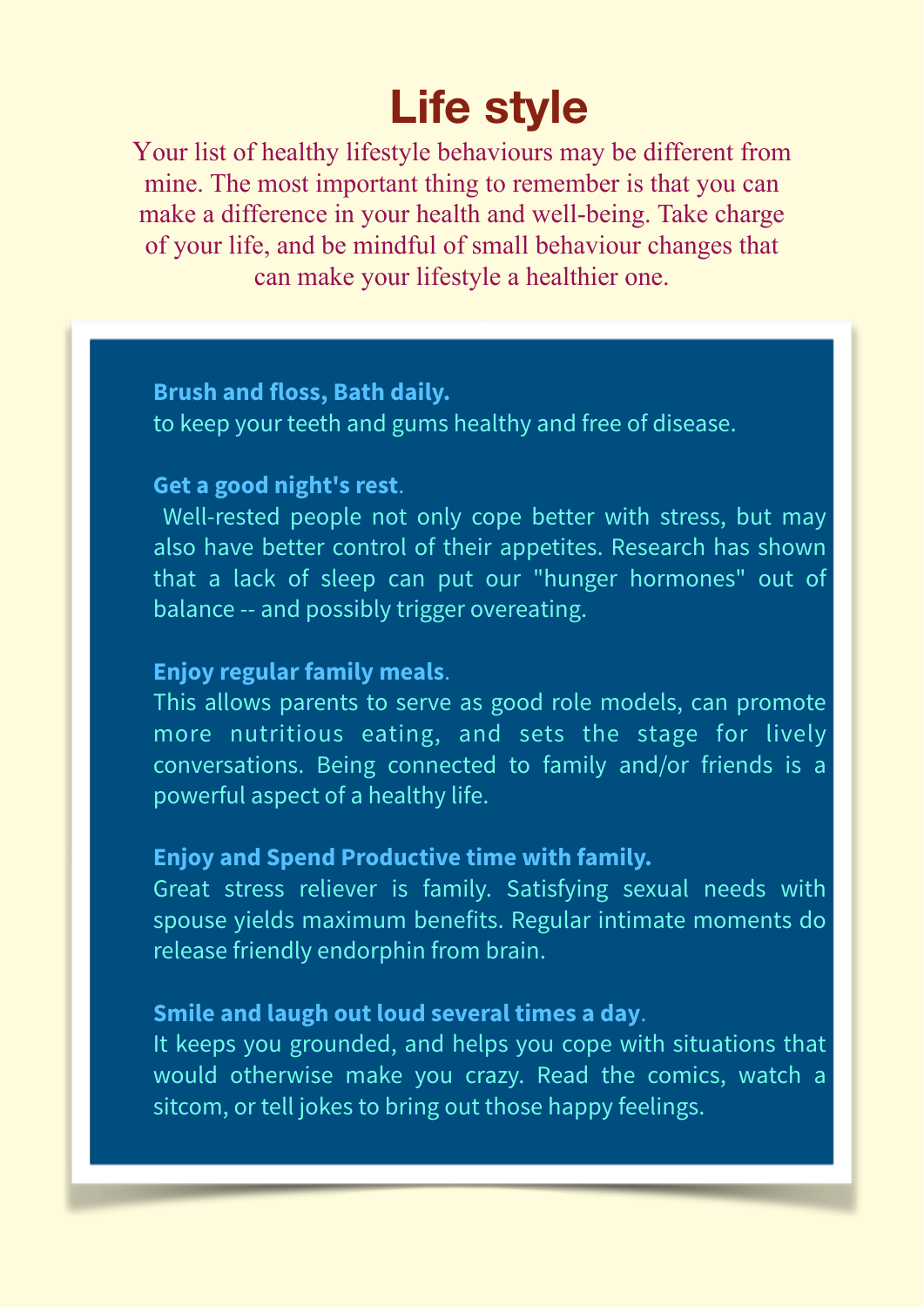# **Life style**

Your list of healthy lifestyle behaviours may be different from mine. The most important thing to remember is that you can make a difference in your health and well-being. Take charge of your life, and be mindful of small behaviour changes that can make your lifestyle a healthier one.

## **• Brush and floss, Bath daily.**

**•** to keep your [teeth an](https://www.webmd.com/oral-health/picture-of-the-teeth)d gums healthy and free of disease.

#### **• Get a good night's rest**.

Well-rested people not only cope better with stress, but may also have better control of their appetites. Research has shown that a lack of [sleep ca](https://www.webmd.com/sleep-disorders/default.htm)n put our ["hunger h](https://www.webmd.com/diet/features/top-10-ways-to-deal-with-hunger)ormones" out of balance -- and possibly trigger overeating.

## **• Enjoy regular family meals**.

**•** This allows parents to serve as good role models, can promote more nutritious eating, and sets the stage for lively conversations. Being connected to family and/or friends is a powerful aspect of a healthy life.

## **• Enjoy and Spend Productive time with family.**

**•** Great stress reliever is family. Satisfying sexual needs with spouse yields maximum benefits. Regular intimate moments do release friendly endorphin from brain.

## **• Smile and laugh out loud several times a day**.

**•** It keeps you grounded, and helps you cope with situations that would otherwise make you crazy. Read the comics, watch a sitcom, or tell jokes to bring out those happy feelings.